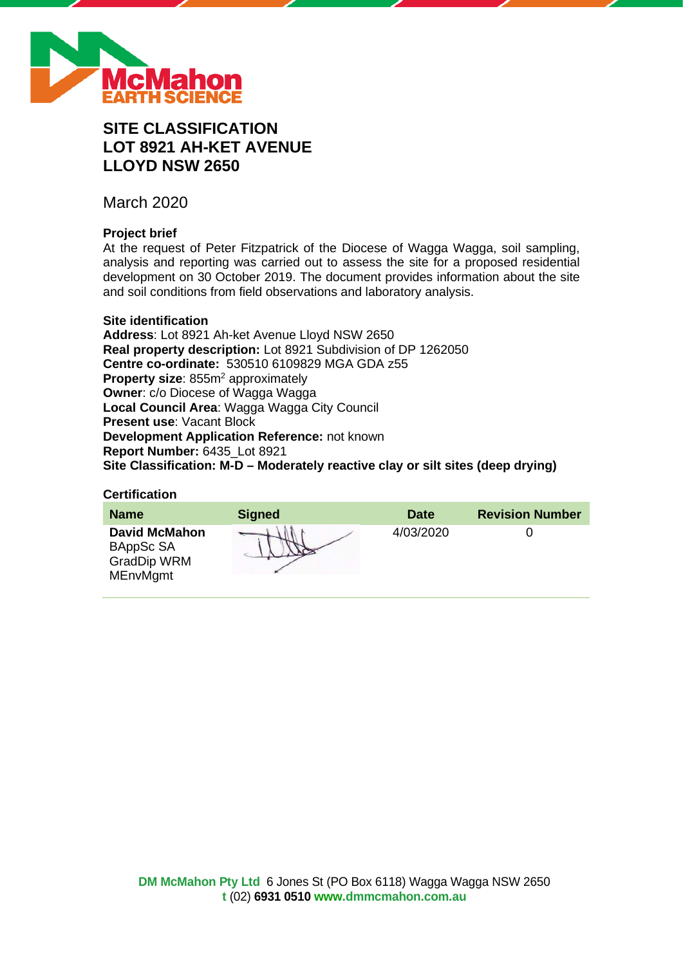

# **SITE CLASSIFICATION LOT 8921 AH-KET AVENUE LLOYD NSW 2650**

March 2020

# **Project brief**

At the request of Peter Fitzpatrick of the Diocese of Wagga Wagga, soil sampling, analysis and reporting was carried out to assess the site for a proposed residential development on 30 October 2019. The document provides information about the site and soil conditions from field observations and laboratory analysis.

#### **Site identification**

**Address**: Lot 8921 Ah-ket Avenue Lloyd NSW 2650 **Real property description:** Lot 8921 Subdivision of DP 1262050 **Centre co-ordinate:** 530510 6109829 MGA GDA z55 **Property size:** 855m<sup>2</sup> approximately **Owner**: c/o Diocese of Wagga Wagga **Local Council Area**: Wagga Wagga City Council **Present use**: Vacant Block **Development Application Reference:** not known **Report Number:** 6435\_Lot 8921 **Site Classification: M-D – Moderately reactive clay or silt sites (deep drying)**

#### **Certification**

| <b>Name</b>                                                                | <b>Signed</b> | <b>Date</b> | <b>Revision Number</b> |
|----------------------------------------------------------------------------|---------------|-------------|------------------------|
| <b>David McMahon</b><br>BAppSc SA<br><b>GradDip WRM</b><br><b>MEnvMgmt</b> |               | 4/03/2020   |                        |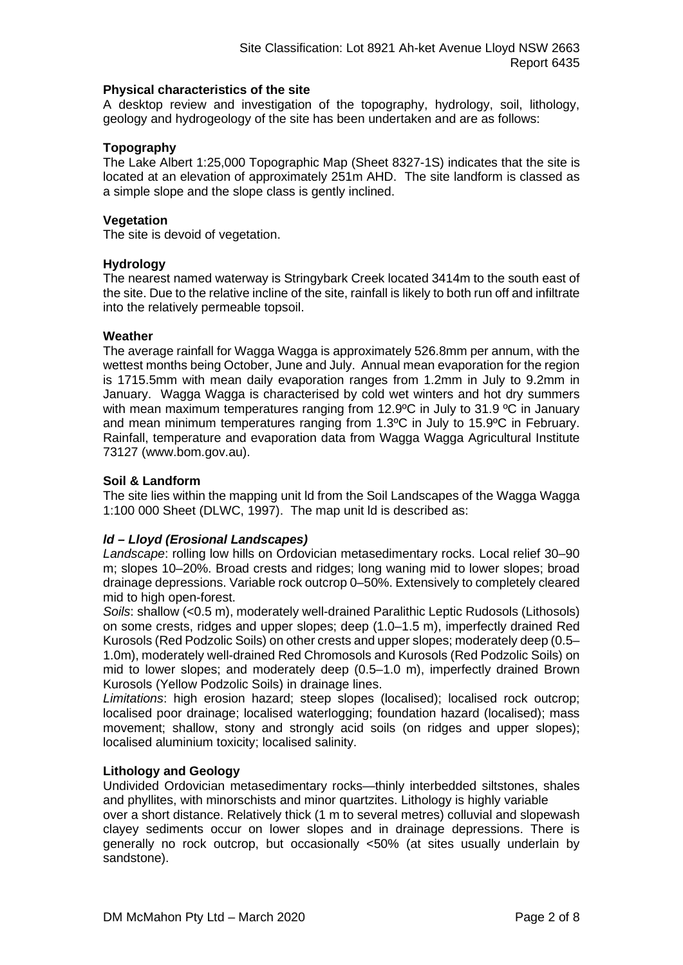## **Physical characteristics of the site**

A desktop review and investigation of the topography, hydrology, soil, lithology, geology and hydrogeology of the site has been undertaken and are as follows:

## **Topography**

The Lake Albert 1:25,000 Topographic Map (Sheet 8327-1S) indicates that the site is located at an elevation of approximately 251m AHD. The site landform is classed as a simple slope and the slope class is gently inclined.

#### **Vegetation**

The site is devoid of vegetation.

#### **Hydrology**

The nearest named waterway is Stringybark Creek located 3414m to the south east of the site. Due to the relative incline of the site, rainfall is likely to both run off and infiltrate into the relatively permeable topsoil.

#### **Weather**

The average rainfall for Wagga Wagga is approximately 526.8mm per annum, with the wettest months being October, June and July. Annual mean evaporation for the region is 1715.5mm with mean daily evaporation ranges from 1.2mm in July to 9.2mm in January. Wagga Wagga is characterised by cold wet winters and hot dry summers with mean maximum temperatures ranging from 12.9°C in July to 31.9 °C in January and mean minimum temperatures ranging from 1.3ºC in July to 15.9ºC in February. Rainfall, temperature and evaporation data from Wagga Wagga Agricultural Institute 73127 (www.bom.gov.au).

#### **Soil & Landform**

The site lies within the mapping unit ld from the Soil Landscapes of the Wagga Wagga 1:100 000 Sheet (DLWC, 1997). The map unit ld is described as:

## *ld – Lloyd (Erosional Landscapes)*

*Landscape*: rolling low hills on Ordovician metasedimentary rocks. Local relief 30–90 m; slopes 10–20%. Broad crests and ridges; long waning mid to lower slopes; broad drainage depressions. Variable rock outcrop 0–50%. Extensively to completely cleared mid to high open-forest.

*Soils*: shallow (<0.5 m), moderately well-drained Paralithic Leptic Rudosols (Lithosols) on some crests, ridges and upper slopes; deep (1.0–1.5 m), imperfectly drained Red Kurosols (Red Podzolic Soils) on other crests and upper slopes; moderately deep (0.5– 1.0m), moderately well-drained Red Chromosols and Kurosols (Red Podzolic Soils) on mid to lower slopes; and moderately deep (0.5–1.0 m), imperfectly drained Brown Kurosols (Yellow Podzolic Soils) in drainage lines.

*Limitations*: high erosion hazard; steep slopes (localised); localised rock outcrop; localised poor drainage; localised waterlogging; foundation hazard (localised); mass movement; shallow, stony and strongly acid soils (on ridges and upper slopes); localised aluminium toxicity; localised salinity.

#### **Lithology and Geology**

Undivided Ordovician metasedimentary rocks—thinly interbedded siltstones, shales and phyllites, with minorschists and minor quartzites. Lithology is highly variable

over a short distance. Relatively thick (1 m to several metres) colluvial and slopewash clayey sediments occur on lower slopes and in drainage depressions. There is generally no rock outcrop, but occasionally <50% (at sites usually underlain by sandstone).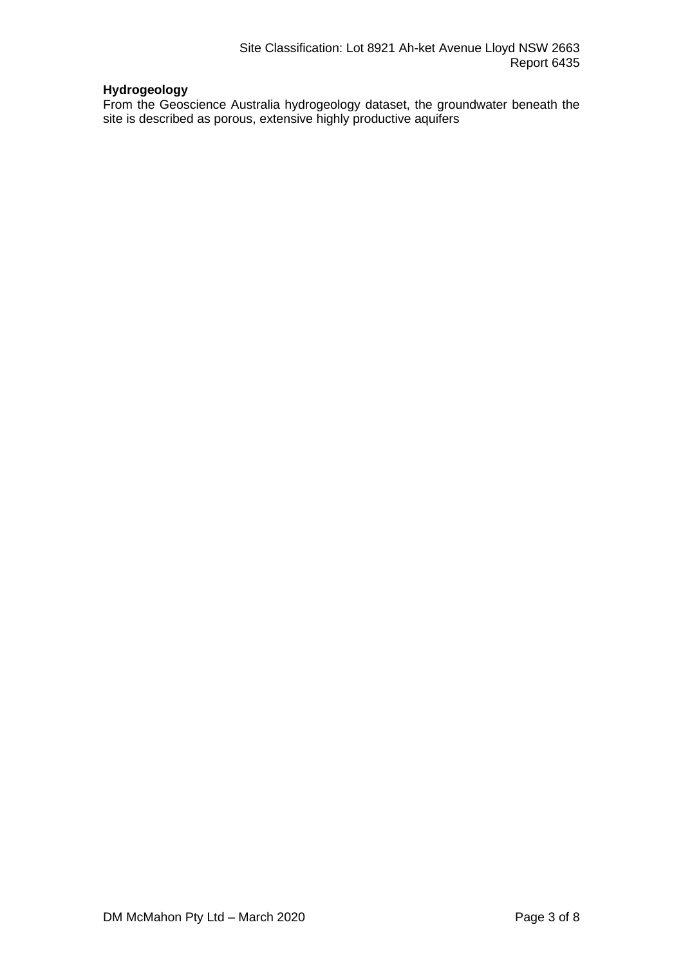# **Hydrogeology**

From the Geoscience Australia hydrogeology dataset, the groundwater beneath the site is described as porous, extensive highly productive aquifers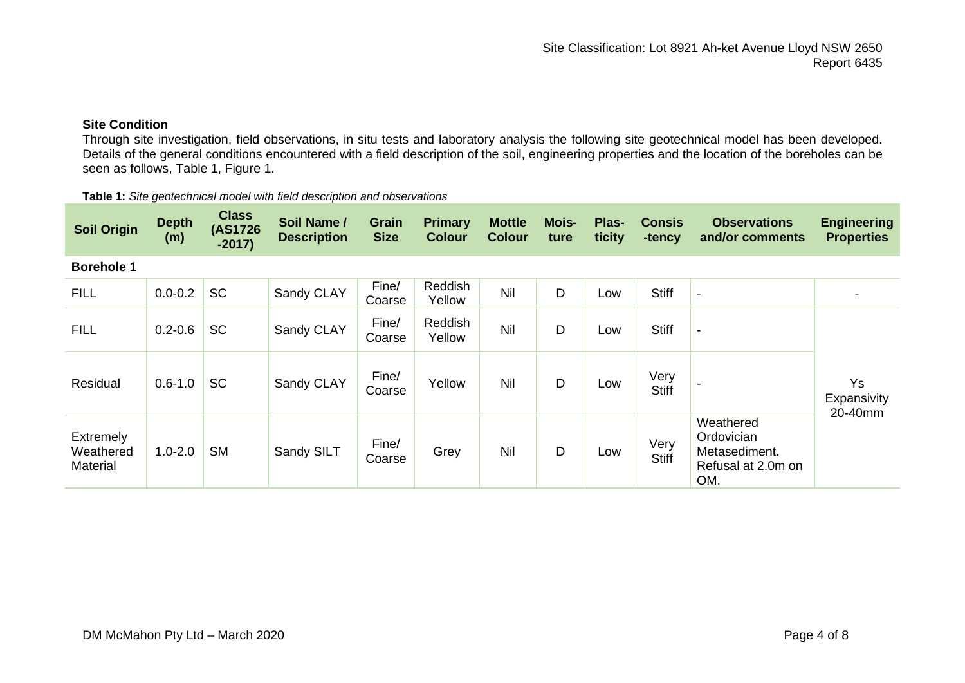# **Site Condition**

Through site investigation, field observations, in situ tests and laboratory analysis the following site geotechnical model has been developed. Details of the general conditions encountered with a field description of the soil, engineering properties and the location of the boreholes can be seen as follows, Table 1, Figure 1.

| <b>Soil Origin</b>                        | <b>Depth</b><br>(m) | <b>Class</b><br>(AS1726)<br>$-2017)$ | Soil Name /<br><b>Description</b> | Grain<br><b>Size</b> | <b>Primary</b><br><b>Colour</b> | <b>Mottle</b><br><b>Colour</b> | <b>Mois-</b><br>ture | Plas-<br>ticity | <b>Consis</b><br>-tency | <b>Observations</b><br>and/or comments                                | <b>Engineering</b><br><b>Properties</b> |
|-------------------------------------------|---------------------|--------------------------------------|-----------------------------------|----------------------|---------------------------------|--------------------------------|----------------------|-----------------|-------------------------|-----------------------------------------------------------------------|-----------------------------------------|
| <b>Borehole 1</b>                         |                     |                                      |                                   |                      |                                 |                                |                      |                 |                         |                                                                       |                                         |
| <b>FILL</b>                               | $0.0 - 0.2$         | <b>SC</b>                            | Sandy CLAY                        | Fine/<br>Coarse      | Reddish<br>Yellow               | Nil                            | D                    | Low             | <b>Stiff</b>            | $\blacksquare$                                                        |                                         |
| <b>FILL</b>                               | $0.2 - 0.6$         | <b>SC</b>                            | Sandy CLAY                        | Fine/<br>Coarse      | Reddish<br>Yellow               | Nil                            | D                    | Low             | <b>Stiff</b>            | $\overline{\phantom{a}}$                                              |                                         |
| Residual                                  | $0.6 - 1.0$         | <b>SC</b>                            | Sandy CLAY                        | Fine/<br>Coarse      | Yellow                          | Nil                            | D                    | Low             | Very<br><b>Stiff</b>    |                                                                       | <b>Ys</b><br>Expansivity<br>20-40mm     |
| Extremely<br>Weathered<br><b>Material</b> | $1.0 - 2.0$         | <b>SM</b>                            | Sandy SILT                        | Fine/<br>Coarse      | Grey                            | Nil                            | D                    | Low             | Very<br><b>Stiff</b>    | Weathered<br>Ordovician<br>Metasediment.<br>Refusal at 2.0m on<br>OM. |                                         |

**Table 1:** *Site geotechnical model with field description and observations*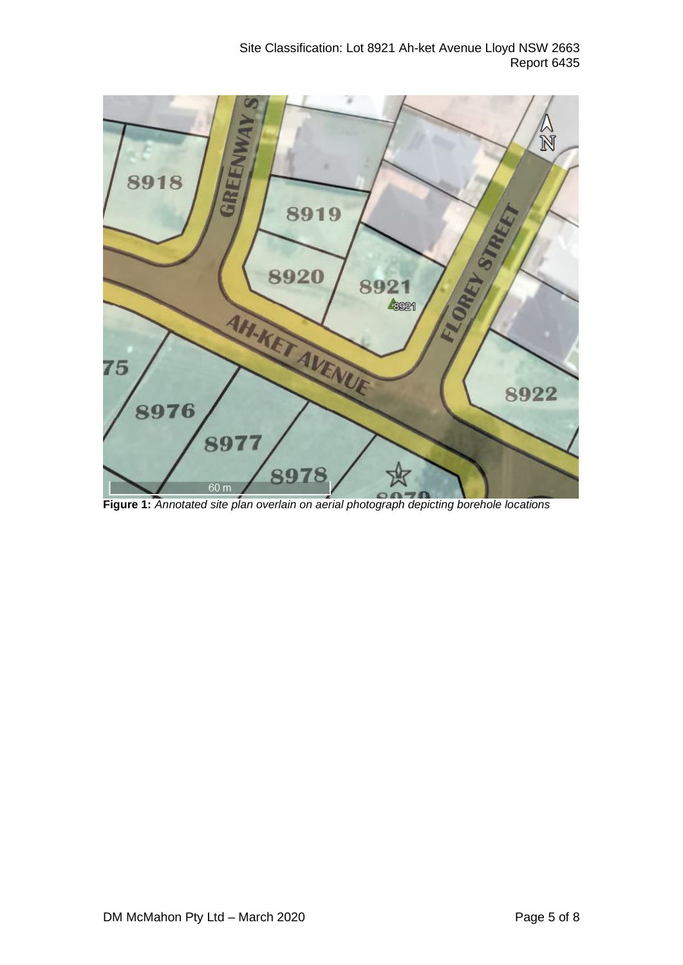Site Classification: Lot 8921 Ah-ket Avenue Lloyd NSW 2663 Report 6435



**Figure 1:** *Annotated site plan overlain on aerial photograph depicting borehole locations*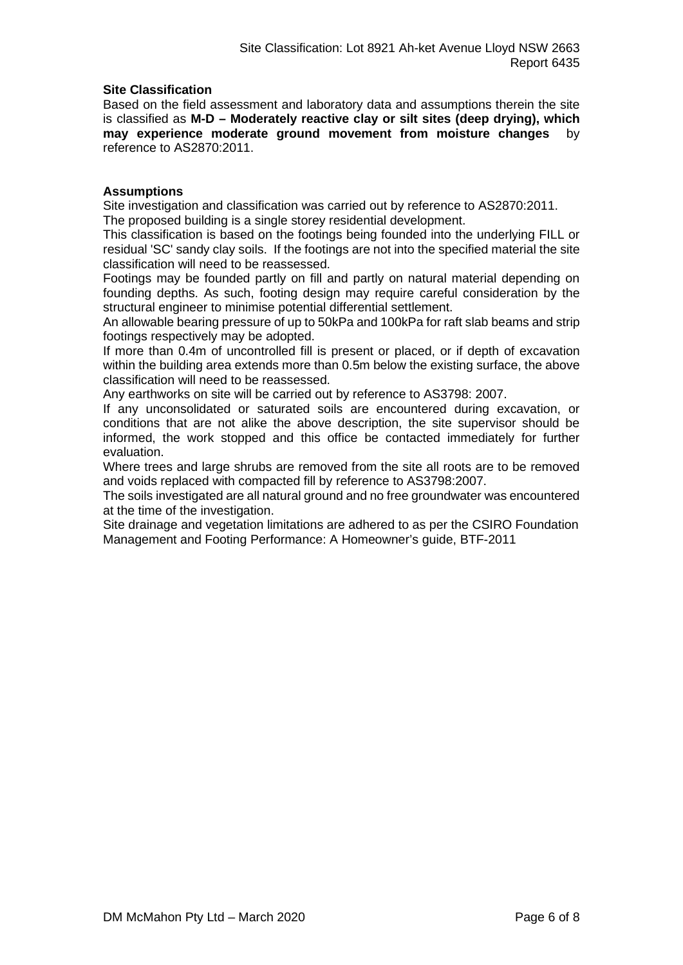## **Site Classification**

Based on the field assessment and laboratory data and assumptions therein the site is classified as **M-D – Moderately reactive clay or silt sites (deep drying), which may experience moderate ground movement from moisture changes** by reference to AS2870:2011.

## **Assumptions**

Site investigation and classification was carried out by reference to AS2870:2011. The proposed building is a single storey residential development.

This classification is based on the footings being founded into the underlying FILL or residual 'SC' sandy clay soils. If the footings are not into the specified material the site classification will need to be reassessed.

Footings may be founded partly on fill and partly on natural material depending on founding depths. As such, footing design may require careful consideration by the structural engineer to minimise potential differential settlement.

An allowable bearing pressure of up to 50kPa and 100kPa for raft slab beams and strip footings respectively may be adopted.

If more than 0.4m of uncontrolled fill is present or placed, or if depth of excavation within the building area extends more than 0.5m below the existing surface, the above classification will need to be reassessed.

Any earthworks on site will be carried out by reference to AS3798: 2007.

If any unconsolidated or saturated soils are encountered during excavation, or conditions that are not alike the above description, the site supervisor should be informed, the work stopped and this office be contacted immediately for further evaluation.

Where trees and large shrubs are removed from the site all roots are to be removed and voids replaced with compacted fill by reference to AS3798:2007.

The soils investigated are all natural ground and no free groundwater was encountered at the time of the investigation.

Site drainage and vegetation limitations are adhered to as per the CSIRO Foundation Management and Footing Performance: A Homeowner's guide, BTF-2011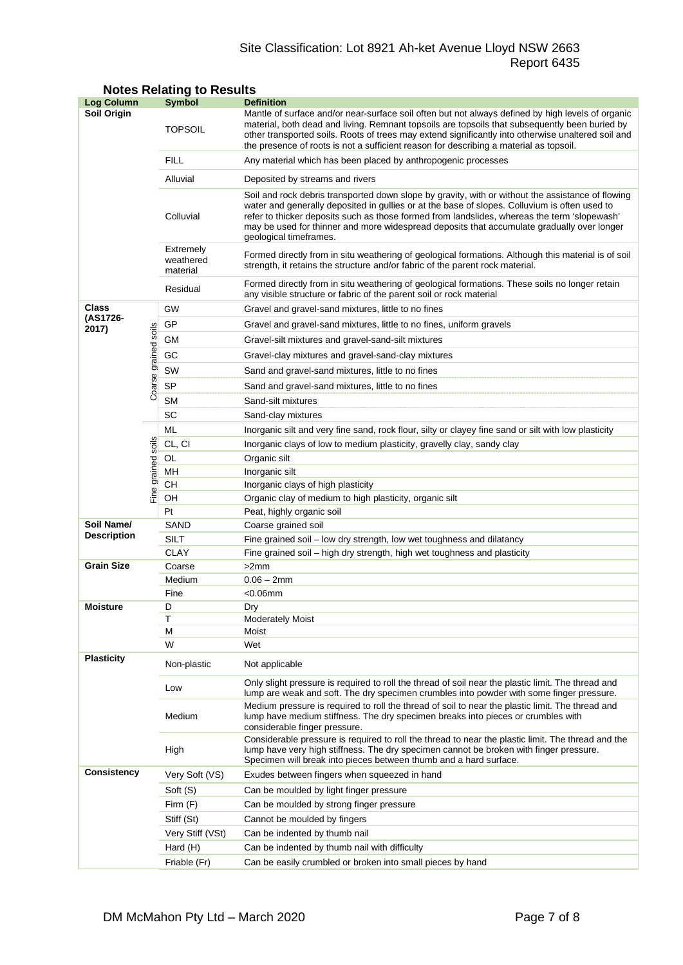# Site Classification: Lot 8921 Ah-ket Avenue Lloyd NSW 2663 Report 6435

| <b>Log Column</b>                |                      | <b>Symbol</b>                                                              | <b>Definition</b>                                                                                                                                                                                                                                                                                                                                                                                                          |  |  |  |
|----------------------------------|----------------------|----------------------------------------------------------------------------|----------------------------------------------------------------------------------------------------------------------------------------------------------------------------------------------------------------------------------------------------------------------------------------------------------------------------------------------------------------------------------------------------------------------------|--|--|--|
| Soil Origin                      |                      | <b>TOPSOIL</b>                                                             | Mantle of surface and/or near-surface soil often but not always defined by high levels of organic<br>material, both dead and living. Remnant topsoils are topsoils that subsequently been buried by<br>other transported soils. Roots of trees may extend significantly into otherwise unaltered soil and<br>the presence of roots is not a sufficient reason for describing a material as topsoil.                        |  |  |  |
|                                  |                      | <b>FILL</b>                                                                | Any material which has been placed by anthropogenic processes                                                                                                                                                                                                                                                                                                                                                              |  |  |  |
|                                  |                      | Alluvial                                                                   | Deposited by streams and rivers                                                                                                                                                                                                                                                                                                                                                                                            |  |  |  |
|                                  |                      | Colluvial                                                                  | Soil and rock debris transported down slope by gravity, with or without the assistance of flowing<br>water and generally deposited in gullies or at the base of slopes. Colluvium is often used to<br>refer to thicker deposits such as those formed from landslides, whereas the term 'slopewash'<br>may be used for thinner and more widespread deposits that accumulate gradually over longer<br>geological timeframes. |  |  |  |
|                                  |                      | Extremely<br>weathered<br>material                                         | Formed directly from in situ weathering of geological formations. Although this material is of soil<br>strength, it retains the structure and/or fabric of the parent rock material.                                                                                                                                                                                                                                       |  |  |  |
|                                  |                      | Residual                                                                   | Formed directly from in situ weathering of geological formations. These soils no longer retain<br>any visible structure or fabric of the parent soil or rock material                                                                                                                                                                                                                                                      |  |  |  |
| Class                            |                      | GW                                                                         | Gravel and gravel-sand mixtures, little to no fines                                                                                                                                                                                                                                                                                                                                                                        |  |  |  |
| (AS1726-<br>2017)                |                      | GP<br>Gravel and gravel-sand mixtures, little to no fines, uniform gravels |                                                                                                                                                                                                                                                                                                                                                                                                                            |  |  |  |
|                                  |                      | GМ                                                                         | Gravel-silt mixtures and gravel-sand-silt mixtures                                                                                                                                                                                                                                                                                                                                                                         |  |  |  |
|                                  |                      | GC<br>Gravel-clay mixtures and gravel-sand-clay mixtures                   |                                                                                                                                                                                                                                                                                                                                                                                                                            |  |  |  |
|                                  |                      | SW                                                                         | Sand and gravel-sand mixtures, little to no fines                                                                                                                                                                                                                                                                                                                                                                          |  |  |  |
|                                  | Coarse grained soils | SP                                                                         | Sand and gravel-sand mixtures, little to no fines                                                                                                                                                                                                                                                                                                                                                                          |  |  |  |
|                                  |                      | <b>SM</b>                                                                  | Sand-silt mixtures                                                                                                                                                                                                                                                                                                                                                                                                         |  |  |  |
|                                  |                      | SC                                                                         | Sand-clay mixtures                                                                                                                                                                                                                                                                                                                                                                                                         |  |  |  |
|                                  |                      | ML                                                                         | Inorganic silt and very fine sand, rock flour, silty or clayey fine sand or silt with low plasticity                                                                                                                                                                                                                                                                                                                       |  |  |  |
|                                  |                      | CL, CI                                                                     | Inorganic clays of low to medium plasticity, gravelly clay, sandy clay                                                                                                                                                                                                                                                                                                                                                     |  |  |  |
|                                  |                      | OL                                                                         | Organic silt                                                                                                                                                                                                                                                                                                                                                                                                               |  |  |  |
|                                  |                      | MН                                                                         | Inorganic silt                                                                                                                                                                                                                                                                                                                                                                                                             |  |  |  |
|                                  | Fine grained soils   | CН                                                                         | Inorganic clays of high plasticity                                                                                                                                                                                                                                                                                                                                                                                         |  |  |  |
|                                  |                      | OH                                                                         | Organic clay of medium to high plasticity, organic silt                                                                                                                                                                                                                                                                                                                                                                    |  |  |  |
|                                  |                      | Pt                                                                         | Peat, highly organic soil                                                                                                                                                                                                                                                                                                                                                                                                  |  |  |  |
| Soil Name/<br><b>Description</b> |                      | SAND                                                                       | Coarse grained soil                                                                                                                                                                                                                                                                                                                                                                                                        |  |  |  |
|                                  |                      | <b>SILT</b>                                                                | Fine grained soil - low dry strength, low wet toughness and dilatancy                                                                                                                                                                                                                                                                                                                                                      |  |  |  |
|                                  |                      | <b>CLAY</b>                                                                | Fine grained soil - high dry strength, high wet toughness and plasticity                                                                                                                                                                                                                                                                                                                                                   |  |  |  |
| <b>Grain Size</b>                |                      | Coarse<br>Medium                                                           | >2mm                                                                                                                                                                                                                                                                                                                                                                                                                       |  |  |  |
|                                  |                      | Fine                                                                       | $0.06 - 2mm$<br><0.06mm                                                                                                                                                                                                                                                                                                                                                                                                    |  |  |  |
| <b>Moisture</b>                  |                      | D                                                                          | Dry                                                                                                                                                                                                                                                                                                                                                                                                                        |  |  |  |
|                                  |                      | Τ                                                                          | <b>Moderately Moist</b>                                                                                                                                                                                                                                                                                                                                                                                                    |  |  |  |
|                                  |                      | М                                                                          | Moist                                                                                                                                                                                                                                                                                                                                                                                                                      |  |  |  |
|                                  |                      | W                                                                          | Wet                                                                                                                                                                                                                                                                                                                                                                                                                        |  |  |  |
| <b>Plasticity</b>                |                      | Non-plastic                                                                | Not applicable                                                                                                                                                                                                                                                                                                                                                                                                             |  |  |  |
|                                  |                      | Low                                                                        | Only slight pressure is required to roll the thread of soil near the plastic limit. The thread and<br>lump are weak and soft. The dry specimen crumbles into powder with some finger pressure.                                                                                                                                                                                                                             |  |  |  |
|                                  |                      | Medium                                                                     | Medium pressure is required to roll the thread of soil to near the plastic limit. The thread and<br>lump have medium stiffness. The dry specimen breaks into pieces or crumbles with<br>considerable finger pressure.                                                                                                                                                                                                      |  |  |  |
|                                  |                      | High                                                                       | Considerable pressure is required to roll the thread to near the plastic limit. The thread and the<br>lump have very high stiffness. The dry specimen cannot be broken with finger pressure.<br>Specimen will break into pieces between thumb and a hard surface.                                                                                                                                                          |  |  |  |
| <b>Consistency</b>               |                      | Very Soft (VS)                                                             | Exudes between fingers when squeezed in hand                                                                                                                                                                                                                                                                                                                                                                               |  |  |  |
|                                  |                      | Soft (S)                                                                   | Can be moulded by light finger pressure                                                                                                                                                                                                                                                                                                                                                                                    |  |  |  |
|                                  |                      | Firm $(F)$                                                                 | Can be moulded by strong finger pressure                                                                                                                                                                                                                                                                                                                                                                                   |  |  |  |
|                                  |                      | Stiff (St)                                                                 | Cannot be moulded by fingers                                                                                                                                                                                                                                                                                                                                                                                               |  |  |  |
|                                  |                      | Very Stiff (VSt)                                                           | Can be indented by thumb nail                                                                                                                                                                                                                                                                                                                                                                                              |  |  |  |
|                                  |                      | Hard (H)                                                                   | Can be indented by thumb nail with difficulty                                                                                                                                                                                                                                                                                                                                                                              |  |  |  |
|                                  |                      | Friable (Fr)                                                               | Can be easily crumbled or broken into small pieces by hand                                                                                                                                                                                                                                                                                                                                                                 |  |  |  |

# **Notes Relating to Results**